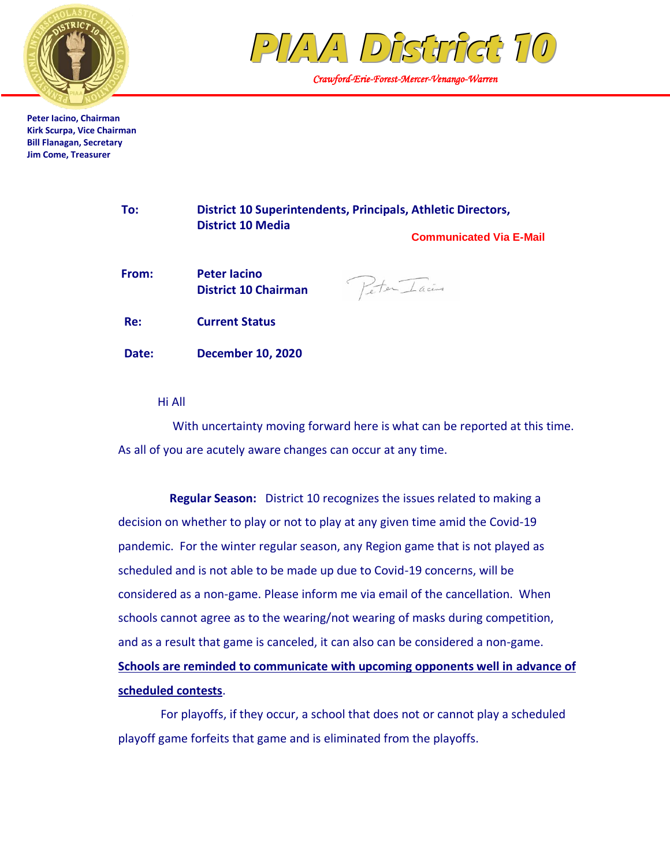



*Crawford-Erie-Forest-Mercer-Venango-Warren* 

Peter Iacino

**Peter Iacino, Chairman Kirk Scurpa, Vice Chairman Bill Flanagan, Secretary Jim Come, Treasurer**

| To: | District 10 Superintendents, Principals, Athletic Directors, |
|-----|--------------------------------------------------------------|
|     | <b>District 10 Media</b>                                     |
|     | <b>Communicated Via E-Mail</b>                               |

| From: | <b>Peter lacino</b><br><b>District 10 Chairman</b> |
|-------|----------------------------------------------------|
| Re:   | <b>Current Status</b>                              |
| Date: | <b>December 10, 2020</b>                           |

Hi All

 With uncertainty moving forward here is what can be reported at this time. As all of you are acutely aware changes can occur at any time.

 **Regular Season:** District 10 recognizes the issues related to making a decision on whether to play or not to play at any given time amid the Covid-19 pandemic. For the winter regular season, any Region game that is not played as scheduled and is not able to be made up due to Covid-19 concerns, will be considered as a non-game. Please inform me via email of the cancellation. When schools cannot agree as to the wearing/not wearing of masks during competition, and as a result that game is canceled, it can also can be considered a non-game. **Schools are reminded to communicate with upcoming opponents well in advance of scheduled contests**.

For playoffs, if they occur, a school that does not or cannot play a scheduled playoff game forfeits that game and is eliminated from the playoffs.